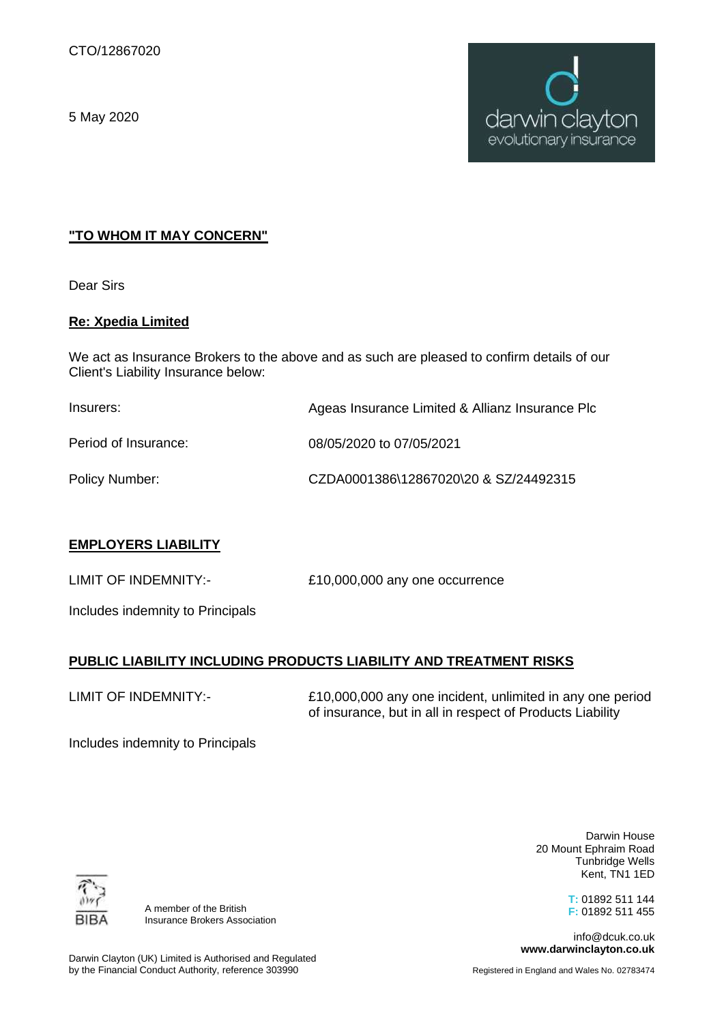5 May 2020



# **"TO WHOM IT MAY CONCERN"**

Dear Sirs

### **Re: Xpedia Limited**

We act as Insurance Brokers to the above and as such are pleased to confirm details of our Client's Liability Insurance below:

| Insurers:            | Ageas Insurance Limited & Allianz Insurance Plo |
|----------------------|-------------------------------------------------|
| Period of Insurance: | 08/05/2020 to 07/05/2021                        |
| Policy Number:       | CZDA0001386\12867020\20 & SZ/24492315           |

### **EMPLOYERS LIABILITY**

LIMIT OF INDEMNITY:- £10,000,000 any one occurrence

Includes indemnity to Principals

# **PUBLIC LIABILITY INCLUDING PRODUCTS LIABILITY AND TREATMENT RISKS**

LIMIT OF INDEMNITY:-

£10,000,000 any one incident, unlimited in any one period of insurance, but in all in respect of Products Liability

Includes indemnity to Principals

BIB/

A member of the British Insurance Brokers Association

Darwin House 20 Mount Ephraim Road Tunbridge Wells Kent, TN1 1ED

> **T:** 01892 511 144 **F:** 01892 511 455

info@dcuk.co.uk **www.darwinclayton.co.uk**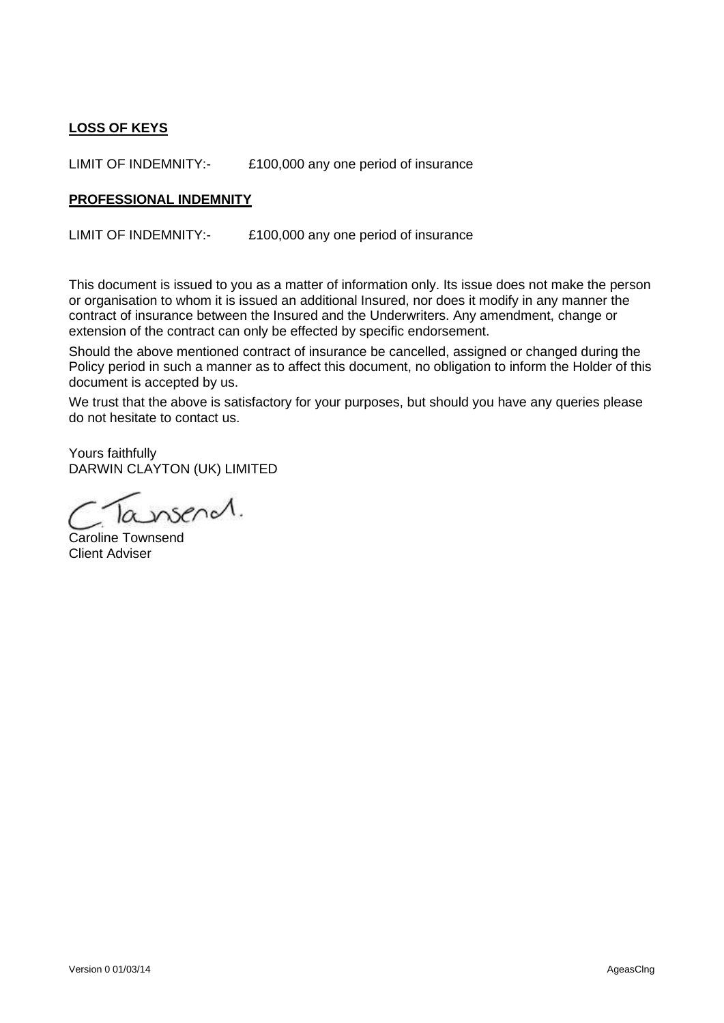# **LOSS OF KEYS**

LIMIT OF INDEMNITY:- £100,000 any one period of insurance

#### **PROFESSIONAL INDEMNITY**

LIMIT OF INDEMNITY:- £100,000 any one period of insurance

This document is issued to you as a matter of information only. Its issue does not make the person or organisation to whom it is issued an additional Insured, nor does it modify in any manner the contract of insurance between the Insured and the Underwriters. Any amendment, change or extension of the contract can only be effected by specific endorsement.

Should the above mentioned contract of insurance be cancelled, assigned or changed during the Policy period in such a manner as to affect this document, no obligation to inform the Holder of this document is accepted by us.

We trust that the above is satisfactory for your purposes, but should you have any queries please do not hesitate to contact us.

Yours faithfully DARWIN CLAYTON (UK) LIMITED

Caroline Townsend Client Adviser